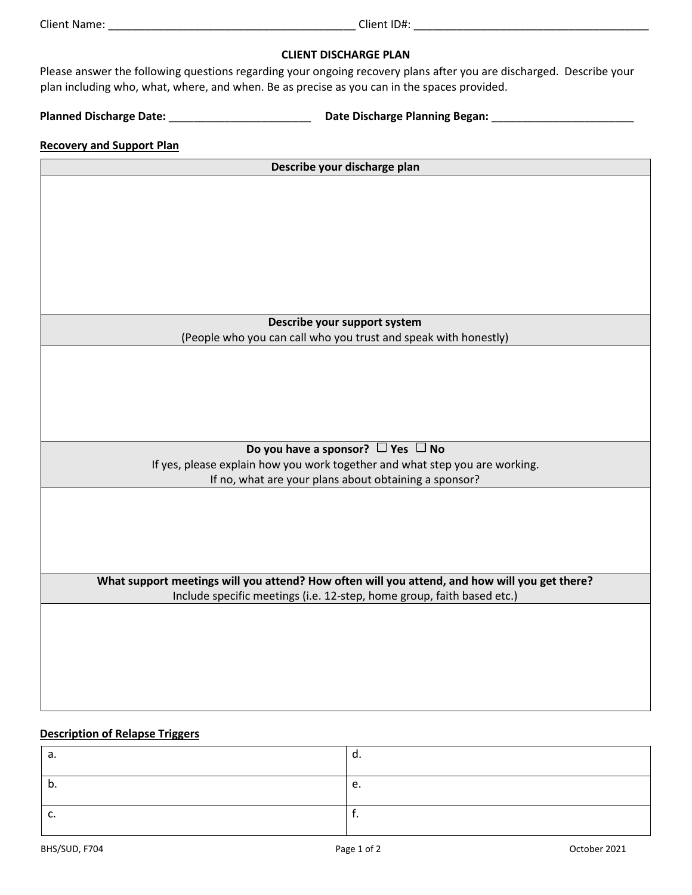# **CLIENT DISCHARGE PLAN**

Please answer the following questions regarding your ongoing recovery plans after you are discharged. Describe your plan including who, what, where, and when. Be as precise as you can in the spaces provided.

**Planned Discharge Date:** \_\_\_\_\_\_\_\_\_\_\_\_\_\_\_\_\_\_\_\_\_\_\_ **Date Discharge Planning Began:** \_\_\_\_\_\_\_\_\_\_\_\_\_\_\_\_\_\_\_\_\_\_\_

# **Recovery and Support Plan**

**Describe your discharge plan Describe your support system**  (People who you can call who you trust and speak with honestly) Do you have a sponsor?  $\Box$  Yes  $\Box$  No If yes, please explain how you work together and what step you are working. If no, what are your plans about obtaining a sponsor? **What support meetings will you attend? How often will you attend, and how will you get there?** Include specific meetings (i.e. 12-step, home group, faith based etc.)

# **Description of Relapse Triggers**

| а.  | u. |
|-----|----|
| IJ. | c. |
| J.  |    |